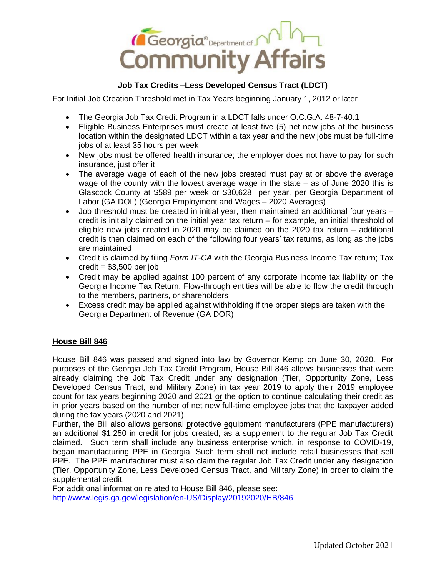

## **Job Tax Credits –Less Developed Census Tract (LDCT)**

For Initial Job Creation Threshold met in Tax Years beginning January 1, 2012 or later

- The Georgia Job Tax Credit Program in a LDCT falls under O.C.G.A. 48-7-40.1
- Eligible Business Enterprises must create at least five (5) net new jobs at the business location within the designated LDCT within a tax year and the new jobs must be full-time jobs of at least 35 hours per week
- New jobs must be offered health insurance; the employer does not have to pay for such insurance, just offer it
- The average wage of each of the new jobs created must pay at or above the average wage of the county with the lowest average wage in the state – as of June 2020 this is Glascock County at \$589 per week or \$30,628 per year, per Georgia Department of Labor (GA DOL) (Georgia Employment and Wages – 2020 Averages)
- Job threshold must be created in initial year, then maintained an additional four years credit is initially claimed on the initial year tax return – for example, an initial threshold of eligible new jobs created in 2020 may be claimed on the 2020 tax return – additional credit is then claimed on each of the following four years' tax returns, as long as the jobs are maintained
- Credit is claimed by filing *Form IT-CA* with the Georgia Business Income Tax return; Tax  $credit = $3,500$  per job
- Credit may be applied against 100 percent of any corporate income tax liability on the Georgia Income Tax Return. Flow-through entities will be able to flow the credit through to the members, partners, or shareholders
- Excess credit may be applied against withholding if the proper steps are taken with the Georgia Department of Revenue (GA DOR)

## **House Bill 846**

House Bill 846 was passed and signed into law by Governor Kemp on June 30, 2020. For purposes of the Georgia Job Tax Credit Program, House Bill 846 allows businesses that were already claiming the Job Tax Credit under any designation (Tier, Opportunity Zone, Less Developed Census Tract, and Military Zone) in tax year 2019 to apply their 2019 employee count for tax years beginning 2020 and 2021 or the option to continue calculating their credit as in prior years based on the number of net new full-time employee jobs that the taxpayer added during the tax years (2020 and 2021).

Further, the Bill also allows personal protective equipment manufacturers (PPE manufacturers) an additional \$1,250 in credit for jobs created, as a supplement to the regular Job Tax Credit claimed. Such term shall include any business enterprise which, in response to COVID-19, began manufacturing PPE in Georgia. Such term shall not include retail businesses that sell PPE. The PPE manufacturer must also claim the regular Job Tax Credit under any designation (Tier, Opportunity Zone, Less Developed Census Tract, and Military Zone) in order to claim the supplemental credit.

For additional information related to House Bill 846, please see: <http://www.legis.ga.gov/legislation/en-US/Display/20192020/HB/846>